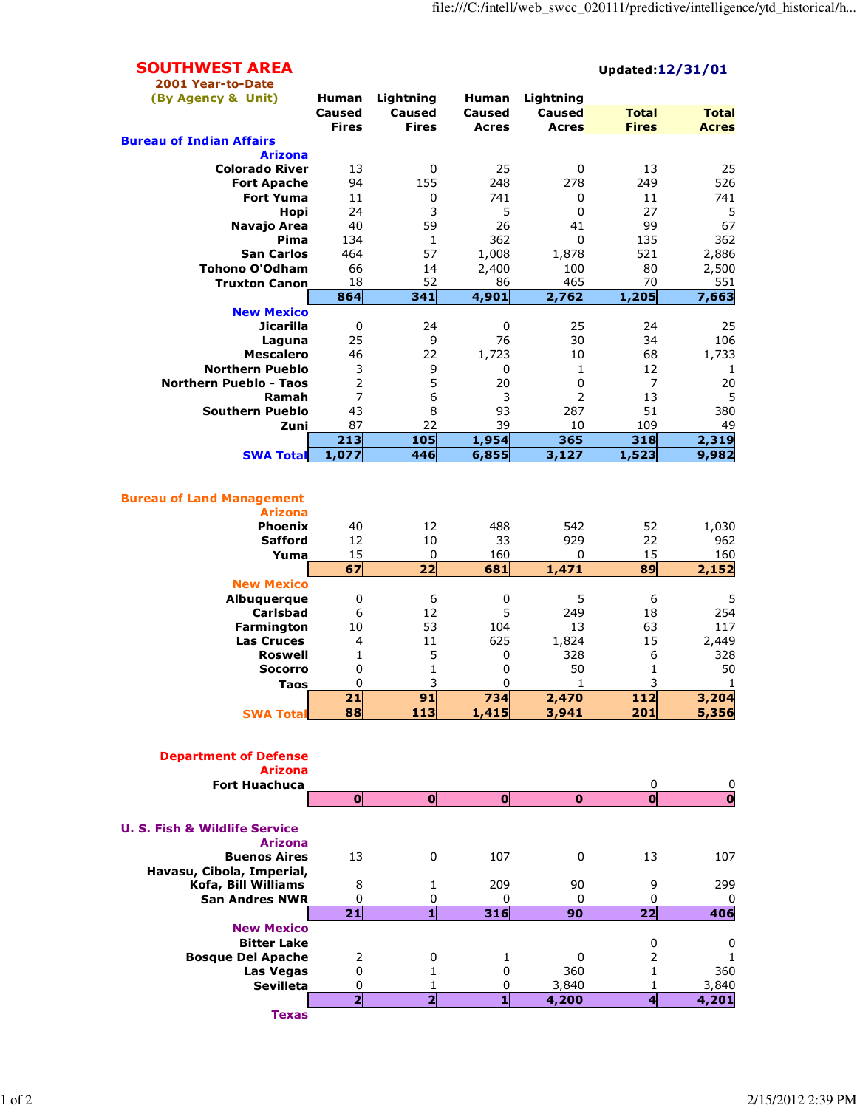## SOUTHWEST AREA Updated:12/31/01 2001 Year-to-Date (By Agency & Unit) Human Lightning Human Lightning Caused Caused Caused Caused Total Total Fires Fires Acres Acres Fires Acres Bureau of Indian Affairs Arizona **Colorado River** 13 0 25 0 13 25<br>**Fort Apache** 94 155 248 278 249 526 **Fort Apache** 84 155 248 278 249 526 **Fort Yuma** 11 0 741 0 11 741 **Hopi** 24 3 5 0 27 5 **Navajo Area** 40 59 26 41 99 67 **Pima** 134 1 362 0 135 362 San Carlos 464 57 1,008 1,878 521 2,886 **Tohono O'Odham**  $\begin{array}{cccc} 66 & 14 & 2,400 & 100 & 80 & 2,500 \\ 18 & 52 & 86 & 465 & 70 & 551 \end{array}$ Truxton Canon 18 52 86 465 70 551<br>864 341 4,901 2,762 1,205 7,663 864 341 4,901 2,762 1,205 7,663 New Mexico Jicarilla 0 24 0 25 24 25 **Laguna** 25 9 76 30 34 106 Mescalero 46 22 1,723 10 68 1,733 **Northern Pueblo** 3 9 9 0 1 12 12 **Northern Pueblo - Taos 20 5 20 5 20 7 20 20 Ramah** 7 6 3 2 13 5 **Southern Pueblo**  $\begin{array}{cccc} 43 & 8 & 93 & 287 & 51 & 380 \\ 20 & 87 & 22 & 39 & 10 & 109 & 49 \end{array}$ Zuni 87 22 39 10 109 49 213 105 1,954 365 318 2,319 SWA Total 1,077 446 6,855 3,127 1,523 9,982 Bureau of Land Management Arizona **Phoenix** 40 12 488 542 52 1,030 **Safford** 12 10 33 929 22 962 **Yuma** 15 0 160 0 15 160 67 22 681 1,471 89 2,152 New Mexico Albuquerque 0 6 0 5 6 5 **Carlsbad** 6 12 5 249 18 254<br> **13** 53 104 13 63 117 **Farmington** 10 53 104 13 63 117<br>**Las Cruces** 4 11 625 1,824 15 2,449 **Las Cruces**  $\begin{array}{ccccccccc}\n4 & & 11 & & 625 & 1,824 & & 15 & & 2,449 \\
\hline\n\textbf{Roswell} & 1 & & 5 & & 0 & & 328 & & 6 & & 328\n\end{array}$ **Roswell** 1 5 0 328 6 328 **Socorro** 0 1 0 50 1 50 **Taos** 0 3 0 1 3 1 21 91 734 2,470 112 3,204 SWA Total 88 113 1,415 3,941 201 5,356 Department of Defense Arizona Fort Huachuca 0 0 0 0 0 0 0 0 U. S. Fish & Wildlife Service Arizona **Buenos Aires** 13 0 107 0 13 107 Havasu, Cibola, Imperial, Kofa, Bill Williams 8 1 209 90 9 299 San Andres NWR 0 0 0 0 0 0 21 1 316 90 22 406 New Mexico Bitter Lake 0 0 **Bosque Del Apache** 2 0 1 0 2 1 **Las Vegas**  $\begin{array}{ccccccc} 0 & 1 & 0 & 360 & 1 & 360 \end{array}$

Sevilleta 0 1 0 3,840 1 3,840<br>
2 2 1 4,200 4 4,201

Texas

 $4,201$